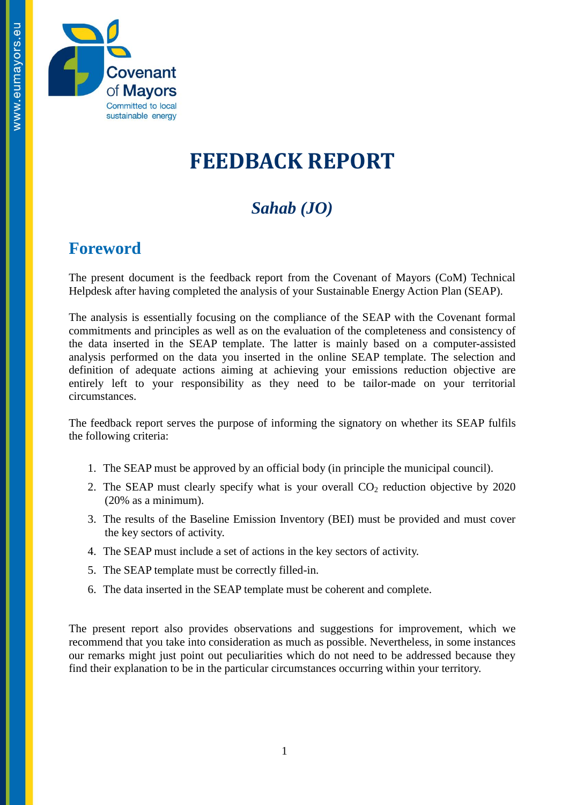

# **FEEDBACK REPORT**

## *Sahab (JO)*

#### **Foreword**

The present document is the feedback report from the Covenant of Mayors (CoM) Technical Helpdesk after having completed the analysis of your Sustainable Energy Action Plan (SEAP).

The analysis is essentially focusing on the compliance of the SEAP with the Covenant formal commitments and principles as well as on the evaluation of the completeness and consistency of the data inserted in the SEAP template. The latter is mainly based on a computer-assisted analysis performed on the data you inserted in the online SEAP template. The selection and definition of adequate actions aiming at achieving your emissions reduction objective are entirely left to your responsibility as they need to be tailor-made on your territorial circumstances.

The feedback report serves the purpose of informing the signatory on whether its SEAP fulfils the following criteria:

- 1. The SEAP must be approved by an official body (in principle the municipal council).
- 2. The SEAP must clearly specify what is your overall  $CO<sub>2</sub>$  reduction objective by 2020 (20% as a minimum).
- 3. The results of the Baseline Emission Inventory (BEI) must be provided and must cover the key sectors of activity.
- 4. The SEAP must include a set of actions in the key sectors of activity.
- 5. The SEAP template must be correctly filled-in.
- 6. The data inserted in the SEAP template must be coherent and complete.

The present report also provides observations and suggestions for improvement, which we recommend that you take into consideration as much as possible. Nevertheless, in some instances our remarks might just point out peculiarities which do not need to be addressed because they find their explanation to be in the particular circumstances occurring within your territory.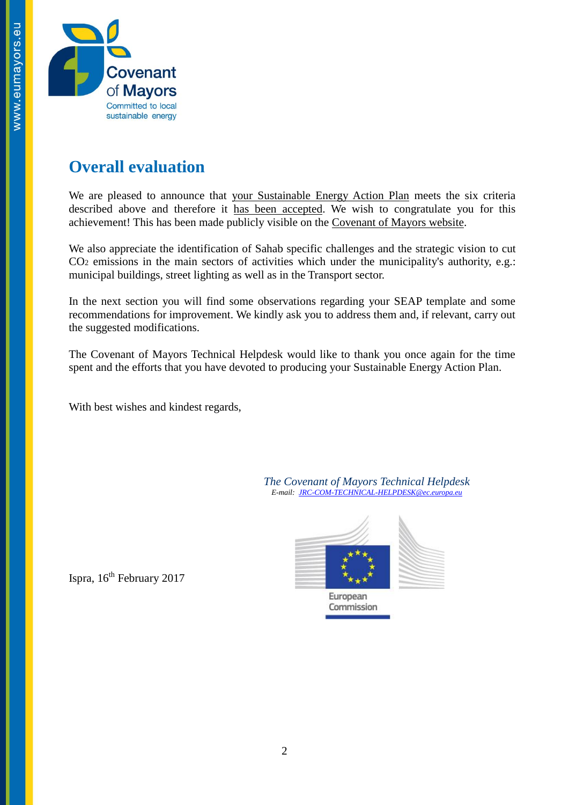

### **Overall evaluation**

We are pleased to announce that your Sustainable Energy Action Plan meets the six criteria described above and therefore it has been accepted. We wish to congratulate you for this achievement! This has been made publicly visible on the [Covenant of Mayors website.](http://www.eumayors.eu/actions/sustainable-energy-action-plans_en.html?city=&x=0&y=0&country_seap=&co2=&date_of_approval=&accepted=)

We also appreciate the identification of Sahab specific challenges and the strategic vision to cut CO<sup>2</sup> emissions in the main sectors of activities which under the municipality's authority, e.g.: municipal buildings, street lighting as well as in the Transport sector.

In the next section you will find some observations regarding your SEAP template and some recommendations for improvement. We kindly ask you to address them and, if relevant, carry out the suggested modifications.

The Covenant of Mayors Technical Helpdesk would like to thank you once again for the time spent and the efforts that you have devoted to producing your Sustainable Energy Action Plan.

With best wishes and kindest regards,

*The Covenant of Mayors Technical Helpdesk E-mail: [JRC-COM-TECHNICAL-HELPDESK@ec.europa.eu](mailto:JRC-COM-TECHNICAL-HELPDESK@ec.europa.eu)*



Ispra, 16<sup>th</sup> February 2017

European Commission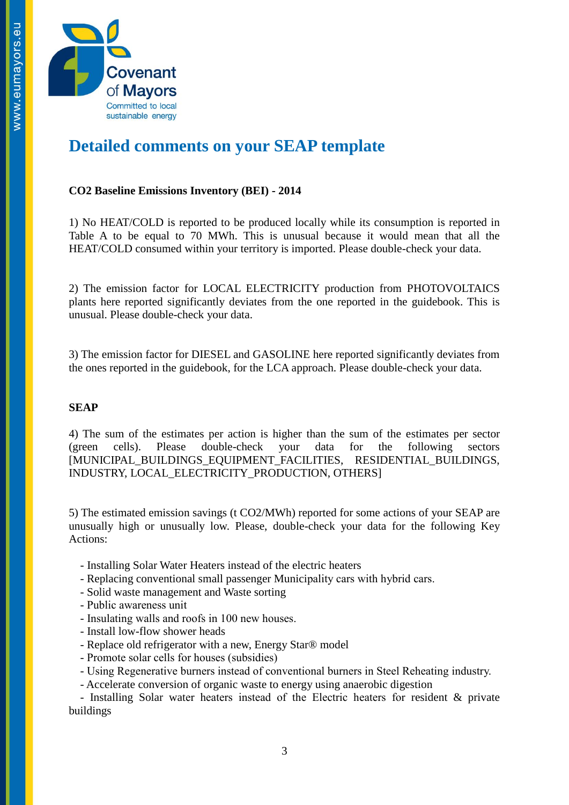

### **Detailed comments on your SEAP template**

#### **CO2 Baseline Emissions Inventory (BEI) - 2014**

1) No HEAT/COLD is reported to be produced locally while its consumption is reported in Table A to be equal to 70 MWh. This is unusual because it would mean that all the HEAT/COLD consumed within your territory is imported. Please double-check your data.

2) The emission factor for LOCAL ELECTRICITY production from PHOTOVOLTAICS plants here reported significantly deviates from the one reported in the guidebook. This is unusual. Please double-check your data.

3) The emission factor for DIESEL and GASOLINE here reported significantly deviates from the ones reported in the guidebook, for the LCA approach. Please double-check your data.

#### **SEAP**

4) The sum of the estimates per action is higher than the sum of the estimates per sector (green cells). Please double-check your data for the following sectors [MUNICIPAL\_BUILDINGS\_EQUIPMENT\_FACILITIES, RESIDENTIAL\_BUILDINGS, INDUSTRY, LOCAL\_ELECTRICITY\_PRODUCTION, OTHERS]

5) The estimated emission savings (t CO2/MWh) reported for some actions of your SEAP are unusually high or unusually low. Please, double-check your data for the following Key Actions:

- Installing Solar Water Heaters instead of the electric heaters
- Replacing conventional small passenger Municipality cars with hybrid cars.
- Solid waste management and Waste sorting
- Public awareness unit
- Insulating walls and roofs in 100 new houses.
- Install low-flow shower heads
- Replace old refrigerator with a new, Energy Star® model
- Promote solar cells for houses (subsidies)
- Using Regenerative burners instead of conventional burners in Steel Reheating industry.
- Accelerate conversion of organic waste to energy using anaerobic digestion

 - Installing Solar water heaters instead of the Electric heaters for resident & private buildings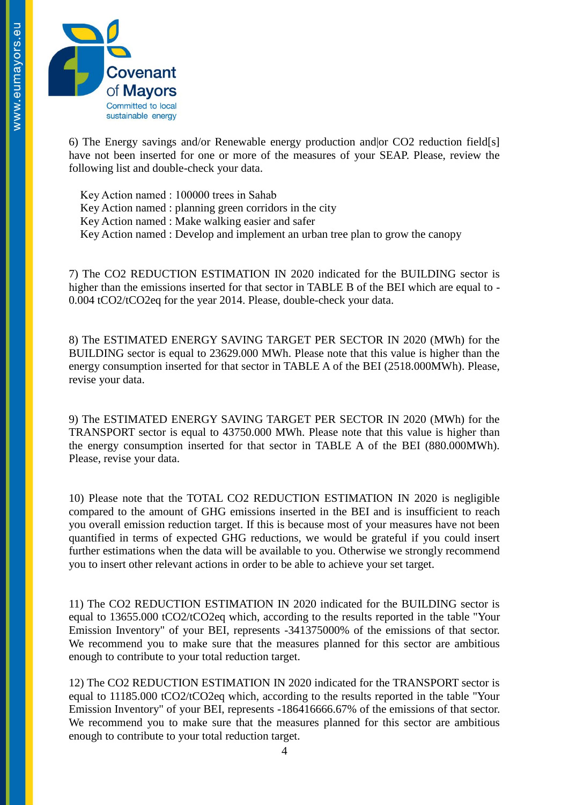

6) The Energy savings and/or Renewable energy production and or  $CO2$  reduction field[s] have not been inserted for one or more of the measures of your SEAP. Please, review the following list and double-check your data.

 Key Action named : 100000 trees in Sahab Key Action named : planning green corridors in the city Key Action named : Make walking easier and safer Key Action named : Develop and implement an urban tree plan to grow the canopy

7) The CO2 REDUCTION ESTIMATION IN 2020 indicated for the BUILDING sector is higher than the emissions inserted for that sector in TABLE B of the BEI which are equal to - 0.004 tCO2/tCO2eq for the year 2014. Please, double-check your data.

8) The ESTIMATED ENERGY SAVING TARGET PER SECTOR IN 2020 (MWh) for the BUILDING sector is equal to 23629.000 MWh. Please note that this value is higher than the energy consumption inserted for that sector in TABLE A of the BEI (2518.000MWh). Please, revise your data.

9) The ESTIMATED ENERGY SAVING TARGET PER SECTOR IN 2020 (MWh) for the TRANSPORT sector is equal to 43750.000 MWh. Please note that this value is higher than the energy consumption inserted for that sector in TABLE A of the BEI (880.000MWh). Please, revise your data.

10) Please note that the TOTAL CO2 REDUCTION ESTIMATION IN 2020 is negligible compared to the amount of GHG emissions inserted in the BEI and is insufficient to reach you overall emission reduction target. If this is because most of your measures have not been quantified in terms of expected GHG reductions, we would be grateful if you could insert further estimations when the data will be available to you. Otherwise we strongly recommend you to insert other relevant actions in order to be able to achieve your set target.

11) The CO2 REDUCTION ESTIMATION IN 2020 indicated for the BUILDING sector is equal to 13655.000 tCO2/tCO2eq which, according to the results reported in the table "Your Emission Inventory" of your BEI, represents -341375000% of the emissions of that sector. We recommend you to make sure that the measures planned for this sector are ambitious enough to contribute to your total reduction target.

12) The CO2 REDUCTION ESTIMATION IN 2020 indicated for the TRANSPORT sector is equal to 11185.000 tCO2/tCO2eq which, according to the results reported in the table "Your Emission Inventory" of your BEI, represents -186416666.67% of the emissions of that sector. We recommend you to make sure that the measures planned for this sector are ambitious enough to contribute to your total reduction target.